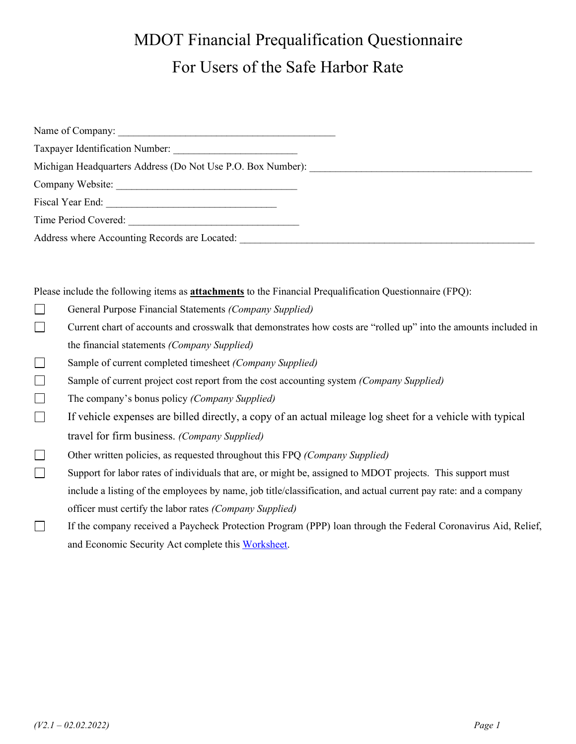| Michigan Headquarters Address (Do Not Use P.O. Box Number): |  |
|-------------------------------------------------------------|--|
|                                                             |  |
|                                                             |  |
| Time Period Covered:                                        |  |
| Address where Accounting Records are Located:               |  |

Please include the following items as **attachments** to the Financial Prequalification Questionnaire (FPQ):

- $\Box$ General Purpose Financial Statements *(Company Supplied)*
- $\Box$ Current chart of accounts and crosswalk that demonstrates how costs are "rolled up" into the amounts included in the financial statements *(Company Supplied)*
- $\Box$ Sample of current completed timesheet *(Company Supplied)*
- $\Box$ Sample of current project cost report from the cost accounting system *(Company Supplied)*
- $\Box$ The company's bonus policy *(Company Supplied)*
- $\Box$ If vehicle expenses are billed directly, a copy of an actual mileage log sheet for a vehicle with typical travel for firm business. *(Company Supplied)*
- $\Box$ Other written policies, as requested throughout this FPQ *(Company Supplied)*
- $\Box$ Support for labor rates of individuals that are, or might be, assigned to MDOT projects. This support must include a listing of the employees by name, job title/classification, and actual current pay rate: and a company officer must certify the labor rates *(Company Supplied)*
- $\Box$ If the company received a Paycheck Protection Program (PPP) loan through the Federal Coronavirus Aid, Relief, and Economic Security Act complete thi[s Worksheet.](https://www.michigan.gov/documents/mdot/Paycheck_Protection_Program_Loan_Worksheet_SH_716891_7.pdf)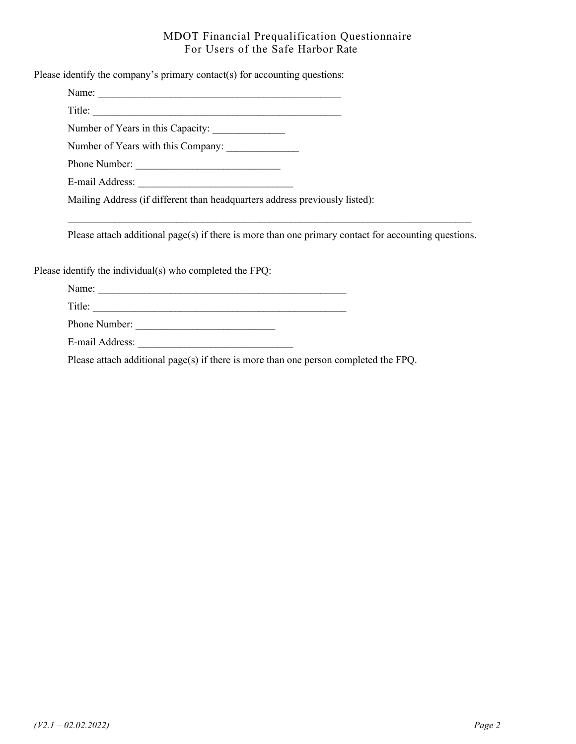Please identify the company's primary contact(s) for accounting questions:

Name:

Title: \_\_\_\_\_\_\_\_\_\_\_\_\_\_\_\_\_\_\_\_\_\_\_\_\_\_\_\_\_\_\_\_\_\_\_\_\_\_\_\_\_\_\_\_\_\_\_\_ Number of Years in this Capacity: \_\_\_\_\_\_\_\_\_\_\_\_\_\_

Number of Years with this Company: \_\_\_\_\_\_\_\_\_\_\_\_\_\_

Phone Number: \_\_\_\_\_\_\_\_\_\_\_\_\_\_\_\_\_\_\_\_\_\_\_\_\_\_\_\_

E-mail Address:

Mailing Address (if different than headquarters address previously listed):

Please attach additional page(s) if there is more than one primary contact for accounting questions.

 $\mathcal{L}_\mathcal{L} = \{ \mathcal{L}_\mathcal{L} = \{ \mathcal{L}_\mathcal{L} = \{ \mathcal{L}_\mathcal{L} = \{ \mathcal{L}_\mathcal{L} = \{ \mathcal{L}_\mathcal{L} = \{ \mathcal{L}_\mathcal{L} = \{ \mathcal{L}_\mathcal{L} = \{ \mathcal{L}_\mathcal{L} = \{ \mathcal{L}_\mathcal{L} = \{ \mathcal{L}_\mathcal{L} = \{ \mathcal{L}_\mathcal{L} = \{ \mathcal{L}_\mathcal{L} = \{ \mathcal{L}_\mathcal{L} = \{ \mathcal{L}_\mathcal{$ 

Please identify the individual(s) who completed the FPQ:

Name: \_\_\_\_\_\_\_\_\_\_\_\_\_\_\_\_\_\_\_\_\_\_\_\_\_\_\_\_\_\_\_\_\_\_\_\_\_\_\_\_\_\_\_\_\_\_\_\_

Title: \_\_\_\_\_\_\_\_\_\_\_\_\_\_\_\_\_\_\_\_\_\_\_\_\_\_\_\_\_\_\_\_\_\_\_\_\_\_\_\_\_\_\_\_\_\_\_\_\_

Phone Number: \_\_\_\_\_\_\_\_\_\_\_\_\_\_\_\_\_\_\_\_\_\_\_\_\_\_\_

E-mail Address:

Please attach additional page(s) if there is more than one person completed the FPQ.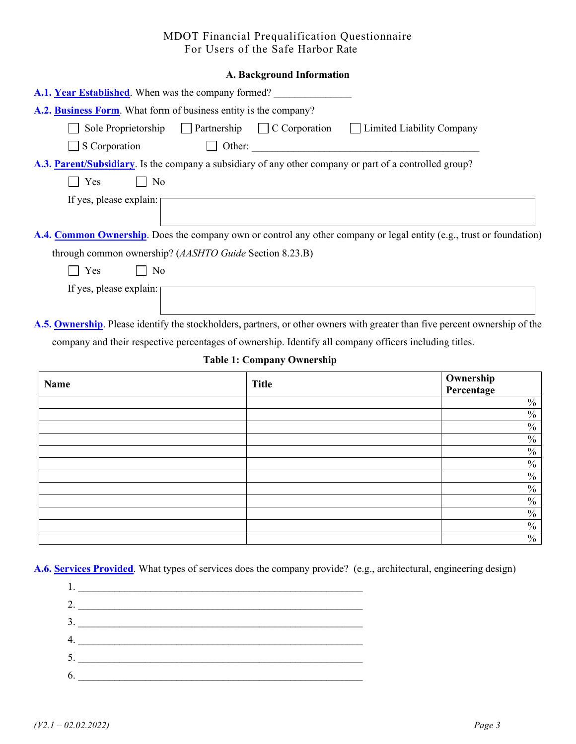| A.1. Year Established. When was the company formed?                                                                              |
|----------------------------------------------------------------------------------------------------------------------------------|
| A.2. Business Form. What form of business entity is the company?                                                                 |
| Sole Proprietorship $\Box$ Partnership $\Box$ C Corporation<br>  Limited Liability Company                                       |
| S Corporation<br>D Other: 2008 2012 2012 2022 2023 2024 2022 2022 2023 2024 2022 2023 2024 2022 2023 2024 2022 2023 2024 2022 20 |
| A.3. Parent/Subsidiary. Is the company a subsidiary of any other company or part of a controlled group?                          |
| Yes<br>  No<br>$\perp$                                                                                                           |
| If yes, please explain:                                                                                                          |
|                                                                                                                                  |
| A.4. Common Ownership. Does the company own or control any other company or legal entity (e.g., trust or foundation)             |
| through common ownership? (AASHTO Guide Section 8.23.B)                                                                          |
| $\vert$   No<br>Yes                                                                                                              |
| If yes, please explain:                                                                                                          |
|                                                                                                                                  |
| A.5. Ownership. Please identify the stockholders, partners, or other owners with greater than five percent ownership of the      |

company and their respective percentages of ownership. Identify all company officers including titles.

#### **Table 1: Company Ownership**

| Name | <b>Title</b> | <b>Ownership</b><br><b>Percentage</b> |
|------|--------------|---------------------------------------|
|      |              | $\frac{0}{0}$                         |
|      |              | $\frac{0}{0}$                         |
|      |              | $\frac{0}{0}$                         |
|      |              | $\%$                                  |
|      |              | $\frac{0}{0}$                         |
|      |              | $\frac{0}{0}$                         |
|      |              | $\frac{0}{0}$                         |
|      |              | $\frac{0}{0}$                         |
|      |              | $\%$                                  |
|      |              | $\frac{0}{0}$                         |
|      |              | $\frac{0}{0}$                         |
|      |              | $\frac{0}{0}$                         |

**A.6. Services Provided**. What types of services does the company provide? (e.g., architectural, engineering design)

| 2. |  |  |
|----|--|--|
| 3. |  |  |
| 4. |  |  |
| 5. |  |  |
| 6. |  |  |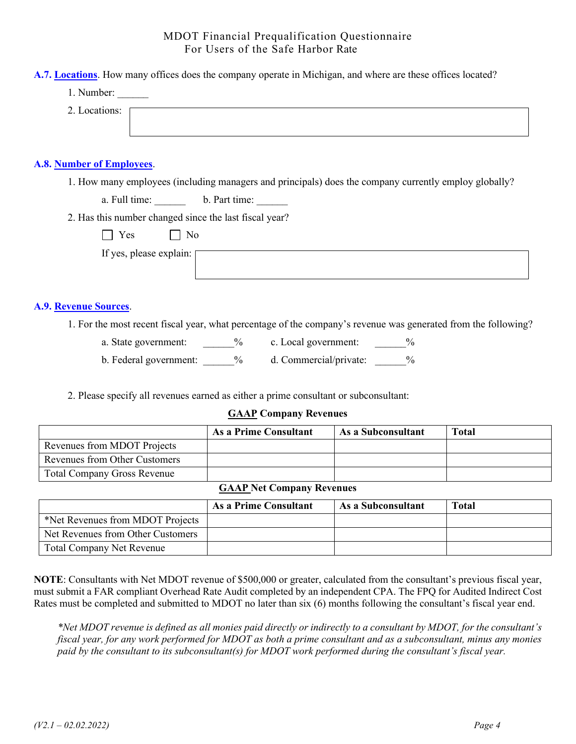**A.7. Locations**. How many offices does the company operate in Michigan, and where are these offices located?

1. Number:

2. Locations:

# **A.8. Number of Employees**.

1. How many employees (including managers and principals) does the company currently employ globally?

a. Full time: b. Part time:

2. Has this number changed since the last fiscal year?

|  | ۰<br>-<br>- |
|--|-------------|
|--|-------------|

If yes, please explain:

#### **A.9. Revenue Sources**.

1. For the most recent fiscal year, what percentage of the company's revenue was generated from the following?

a. State government: \_\_\_\_\_\_% c. Local government: \_\_\_\_\_\_%

b. Federal government: \_\_\_\_\_\_% d. Commercial/private: \_\_\_\_\_%

2. Please specify all revenues earned as either a prime consultant or subconsultant:

#### **GAAP Company Revenues**

|                                    | As a Prime Consultant | As a Subconsultant | <b>Total</b> |
|------------------------------------|-----------------------|--------------------|--------------|
| Revenues from MDOT Projects        |                       |                    |              |
| Revenues from Other Customers      |                       |                    |              |
| <b>Total Company Gross Revenue</b> |                       |                    |              |

#### **GAAP Net Company Revenues**

|                                   | As a Prime Consultant | As a Subconsultant | <b>Total</b> |
|-----------------------------------|-----------------------|--------------------|--------------|
| *Net Revenues from MDOT Projects  |                       |                    |              |
| Net Revenues from Other Customers |                       |                    |              |
| <b>Total Company Net Revenue</b>  |                       |                    |              |

**NOTE**: Consultants with Net MDOT revenue of \$500,000 or greater, calculated from the consultant's previous fiscal year, must submit a FAR compliant Overhead Rate Audit completed by an independent CPA. The FPQ for Audited Indirect Cost Rates must be completed and submitted to MDOT no later than six (6) months following the consultant's fiscal year end.

*\*Net MDOT revenue is defined as all monies paid directly or indirectly to a consultant by MDOT, for the consultant's fiscal year, for any work performed for MDOT as both a prime consultant and as a subconsultant, minus any monies paid by the consultant to its subconsultant(s) for MDOT work performed during the consultant's fiscal year.*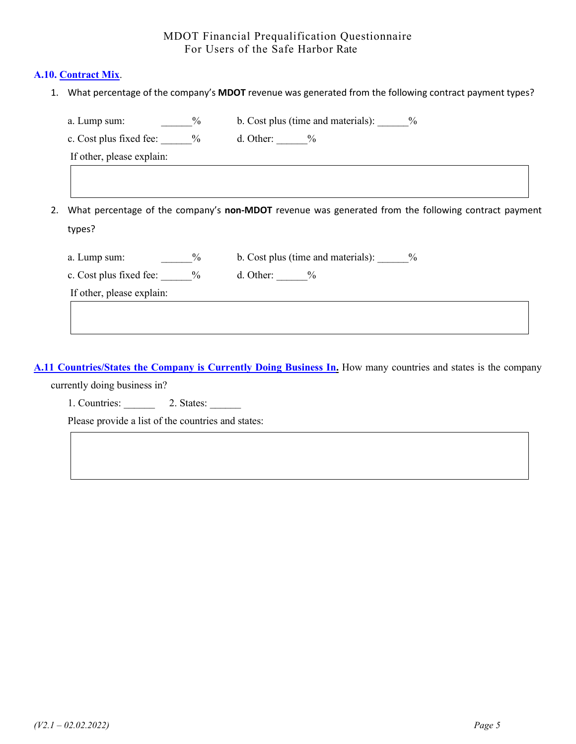#### **A.10. Contract Mix**.

1. What percentage of the company's **MDOT** revenue was generated from the following contract payment types?

| a. Lump sum:                          | $\%$ | b. Cost plus (time and materials): $\frac{9}{6}$                                                    |
|---------------------------------------|------|-----------------------------------------------------------------------------------------------------|
| c. Cost plus fixed fee: $\frac{9}{6}$ |      | d. Other: $\frac{9}{6}$                                                                             |
| If other, please explain:             |      |                                                                                                     |
|                                       |      |                                                                                                     |
|                                       |      |                                                                                                     |
|                                       |      |                                                                                                     |
|                                       |      | What percentage of the company's non-MDOT revenue was generated from the following contract payment |
|                                       |      |                                                                                                     |
| types?                                |      |                                                                                                     |
| a. Lump sum:                          | $\%$ | b. Cost plus (time and materials): $\frac{9}{6}$                                                    |
| c. Cost plus fixed fee: $\frac{9}{6}$ |      | d. Other: $\frac{9}{6}$                                                                             |
| If other, please explain:             |      |                                                                                                     |

**A.11 Countries/States the Company is Currently Doing Business In.** How many countries and states is the company

currently doing business in?

1. Countries: 2. States: 2. States:

Please provide a list of the countries and states: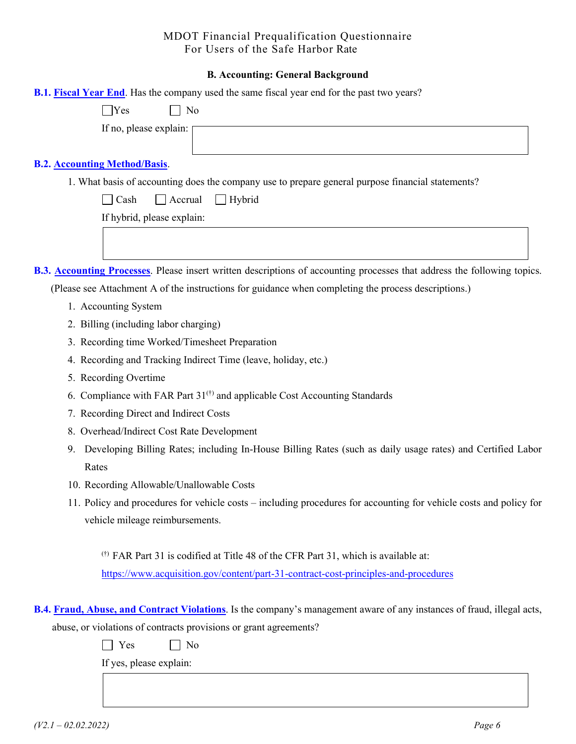#### **B. Accounting: General Background**

| <b>B.1. Fiscal Year End.</b> Has the company used the same fiscal year end for the past two years?                       |
|--------------------------------------------------------------------------------------------------------------------------|
| $\Box$ Yes<br>No                                                                                                         |
| If no, please explain:                                                                                                   |
| <b>B.2. Accounting Method/Basis.</b>                                                                                     |
| 1. What basis of accounting does the company use to prepare general purpose financial statements?                        |
| $\Box$ Cash<br>$\Box$ Accrual<br>$\Box$ Hybrid                                                                           |
| If hybrid, please explain:                                                                                               |
|                                                                                                                          |
| B.3. Accounting Processes. Please insert written descriptions of accounting processes that address the following topics. |
| (Please see Attachment A of the instructions for guidance when completing the process descriptions.)                     |
| 1. Accounting System                                                                                                     |
| 2. Billing (including labor charging)                                                                                    |
| 3. Recording time Worked/Timesheet Preparation                                                                           |
| 4. Recording and Tracking Indirect Time (leave, holiday, etc.)                                                           |
| 5. Recording Overtime                                                                                                    |
| 6. Compliance with FAR Part 31 <sup>(†)</sup> and applicable Cost Accounting Standards                                   |
| 7. Recording Direct and Indirect Costs                                                                                   |
| 8. Overhead/Indirect Cost Rate Development                                                                               |
| Developing Billing Rates; including In-House Billing Rates (such as daily usage rates) and Certified Labor<br>9.         |
| Rates                                                                                                                    |
| 10. Recording Allowable/Unallowable Costs                                                                                |
| 11 Deligy and procedures for vehicle costs including procedures for accounting for vehicle costs and policy for          |

11. Policy and procedures for vehicle costs – including procedures for accounting for vehicle costs and policy for vehicle mileage reimbursements.

(†) FAR Part 31 is codified at Title 48 of the CFR Part 31, which is available at: <https://www.acquisition.gov/content/part-31-contract-cost-principles-and-procedures>

**B.4. Fraud, Abuse, and Contract Violations**. Is the company's management aware of any instances of fraud, illegal acts, abuse, or violations of contracts provisions or grant agreements?

No No

If yes, please explain: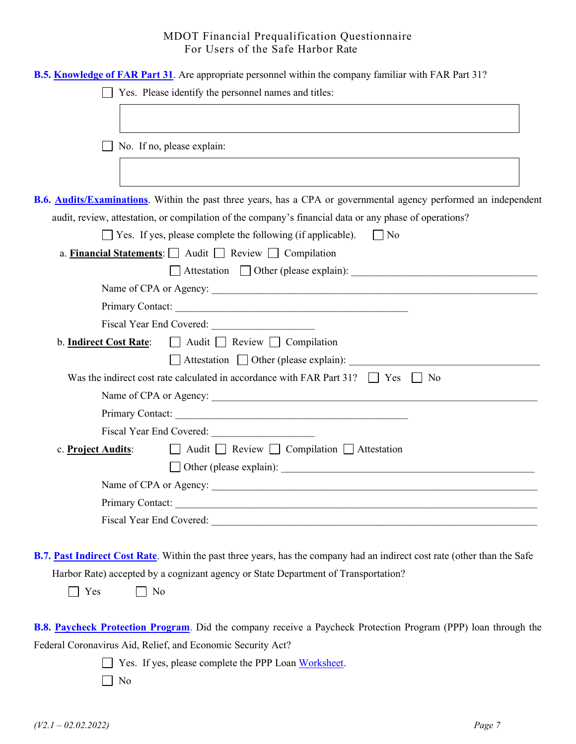| B.5. Knowledge of FAR Part 31. Are appropriate personnel within the company familiar with FAR Part 31?                                                                                                                         |  |
|--------------------------------------------------------------------------------------------------------------------------------------------------------------------------------------------------------------------------------|--|
| Yes. Please identify the personnel names and titles:                                                                                                                                                                           |  |
|                                                                                                                                                                                                                                |  |
|                                                                                                                                                                                                                                |  |
| No. If no, please explain:                                                                                                                                                                                                     |  |
|                                                                                                                                                                                                                                |  |
|                                                                                                                                                                                                                                |  |
| <b>B.6. Audits/Examinations.</b> Within the past three years, has a CPA or governmental agency performed an independent                                                                                                        |  |
| audit, review, attestation, or compilation of the company's financial data or any phase of operations?                                                                                                                         |  |
| $\Box$ Yes. If yes, please complete the following (if applicable). $\Box$ No                                                                                                                                                   |  |
| a. Financial Statements: $\Box$ Audit $\Box$ Review $\Box$ Compilation                                                                                                                                                         |  |
|                                                                                                                                                                                                                                |  |
|                                                                                                                                                                                                                                |  |
|                                                                                                                                                                                                                                |  |
|                                                                                                                                                                                                                                |  |
| b. Indirect Cost Rate: $\Box$ Audit $\Box$ Review $\Box$ Compilation                                                                                                                                                           |  |
| Attestation Other (please explain):                                                                                                                                                                                            |  |
| Was the indirect cost rate calculated in accordance with FAR Part 31? $\Box$ Yes $\Box$ No                                                                                                                                     |  |
|                                                                                                                                                                                                                                |  |
|                                                                                                                                                                                                                                |  |
|                                                                                                                                                                                                                                |  |
| □ Audit □ Review □ Compilation □ Attestation<br>c. Project Audits:                                                                                                                                                             |  |
|                                                                                                                                                                                                                                |  |
| Name of CPA or Agency:                                                                                                                                                                                                         |  |
|                                                                                                                                                                                                                                |  |
| Fiscal Year End Covered: New York Cover Cover Cover Cover Cover Cover Cover Cover Cover Cover Cover Cover Cover Cover Cover Cover Cover Cover Cover Cover Cover Cover Cover Cover Cover Cover Cover Cover Cover Cover Cover Co |  |
|                                                                                                                                                                                                                                |  |
| <b>B.7. Past Indirect Cost Rate</b> . Within the past three years, has the company had an indirect cost rate (other than the Safe                                                                                              |  |
| Harbor Rate) accepted by a cognizant agency or State Department of Transportation?                                                                                                                                             |  |
| Yes<br>No                                                                                                                                                                                                                      |  |
|                                                                                                                                                                                                                                |  |
| B.8. Paycheck Protection Program. Did the company receive a Paycheck Protection Program (PPP) loan through the                                                                                                                 |  |
| Federal Coronavirus Aid, Relief, and Economic Security Act?                                                                                                                                                                    |  |
| Yes. If yes, please complete the PPP Loan Worksheet.                                                                                                                                                                           |  |
| N <sub>o</sub>                                                                                                                                                                                                                 |  |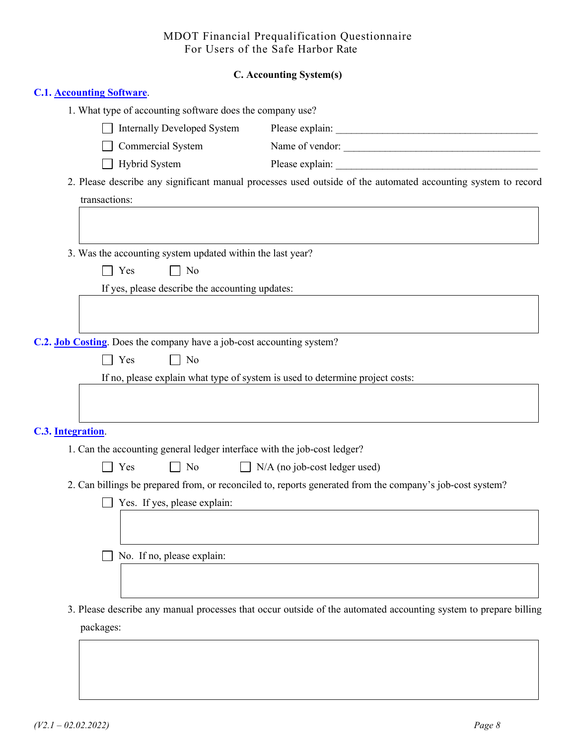### **C. Accounting System(s)**

| <b>C.1. Accounting Software.</b>                                         |                                                 |                                                                                                                  |
|--------------------------------------------------------------------------|-------------------------------------------------|------------------------------------------------------------------------------------------------------------------|
| 1. What type of accounting software does the company use?                |                                                 |                                                                                                                  |
| <b>Internally Developed System</b>                                       |                                                 |                                                                                                                  |
| Commercial System                                                        |                                                 | Name of vendor:                                                                                                  |
| Hybrid System                                                            |                                                 |                                                                                                                  |
|                                                                          |                                                 | 2. Please describe any significant manual processes used outside of the automated accounting system to record    |
| transactions:                                                            |                                                 |                                                                                                                  |
|                                                                          |                                                 |                                                                                                                  |
|                                                                          |                                                 |                                                                                                                  |
| 3. Was the accounting system updated within the last year?               |                                                 |                                                                                                                  |
| $\Box$ Yes                                                               | $\Box$ No                                       |                                                                                                                  |
|                                                                          | If yes, please describe the accounting updates: |                                                                                                                  |
|                                                                          |                                                 |                                                                                                                  |
|                                                                          |                                                 |                                                                                                                  |
| C.2. Job Costing. Does the company have a job-cost accounting system?    |                                                 |                                                                                                                  |
| Yes                                                                      | $\Box$ No                                       |                                                                                                                  |
|                                                                          |                                                 | If no, please explain what type of system is used to determine project costs:                                    |
|                                                                          |                                                 |                                                                                                                  |
|                                                                          |                                                 |                                                                                                                  |
| C.3. Integration.                                                        |                                                 |                                                                                                                  |
| 1. Can the accounting general ledger interface with the job-cost ledger? |                                                 |                                                                                                                  |
| Yes                                                                      | $\Box$ No                                       | $\Box$ N/A (no job-cost ledger used)                                                                             |
|                                                                          |                                                 | 2. Can billings be prepared from, or reconciled to, reports generated from the company's job-cost system?        |
| Yes. If yes, please explain:                                             |                                                 |                                                                                                                  |
|                                                                          |                                                 |                                                                                                                  |
|                                                                          |                                                 |                                                                                                                  |
| No. If no, please explain:                                               |                                                 |                                                                                                                  |
|                                                                          |                                                 |                                                                                                                  |
|                                                                          |                                                 |                                                                                                                  |
|                                                                          |                                                 | 3. Please describe any manual processes that occur outside of the automated accounting system to prepare billing |
| packages:                                                                |                                                 |                                                                                                                  |
|                                                                          |                                                 |                                                                                                                  |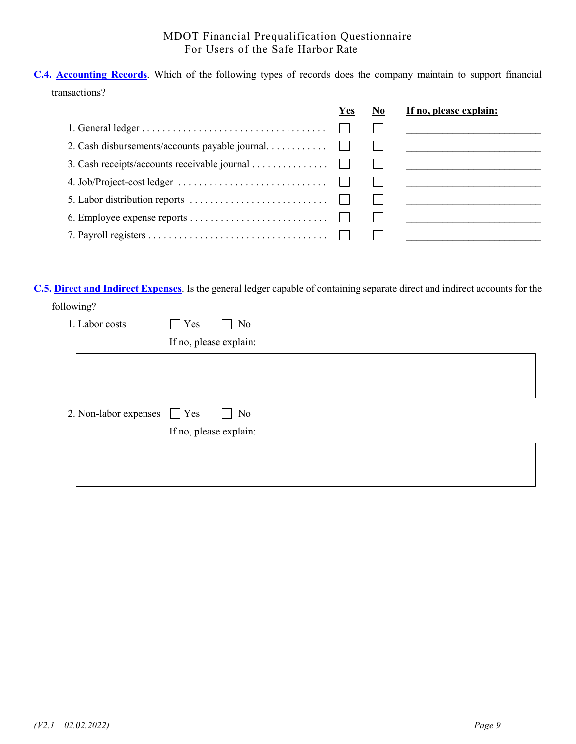**C.4. Accounting Records**. Which of the following types of records does the company maintain to support financial transactions?

|                                                | Yes | If no, please explain: |
|------------------------------------------------|-----|------------------------|
|                                                |     |                        |
| 2. Cash disbursements/accounts payable journal |     |                        |
| 3. Cash receipts/accounts receivable journal   |     |                        |
|                                                |     |                        |
|                                                |     |                        |
|                                                |     |                        |
|                                                |     |                        |
|                                                |     |                        |

**C.5. Direct and Indirect Expenses**. Is the general ledger capable of containing separate direct and indirect accounts for the following?

| 1. Labor costs        | Yes<br>N <sub>0</sub><br>$\mathbf{L}$ |
|-----------------------|---------------------------------------|
|                       | If no, please explain:                |
|                       |                                       |
|                       |                                       |
|                       |                                       |
| 2. Non-labor expenses | $\Box$ Yes<br>No<br>$\mathbf{I}$      |
|                       | If no, please explain:                |
|                       |                                       |
|                       |                                       |
|                       |                                       |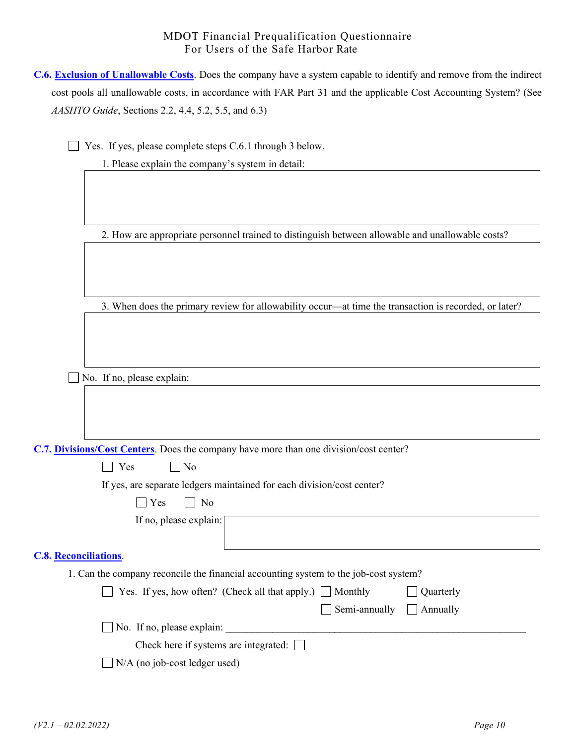| <b>C.6. Exclusion of Unallowable Costs.</b> Does the company have a system capable to identify and remove from the indirect |
|-----------------------------------------------------------------------------------------------------------------------------|
| cost pools all unallowable costs, in accordance with FAR Part 31 and the applicable Cost Accounting System? (See            |
| <i>AASHTO Guide</i> , Sections 2.2, 4.4, 5.2, 5.5, and 6.3)                                                                 |

Yes. If yes, please complete steps C.6.1 through 3 below.

1. Please explain the company's system in detail:

2. How are appropriate personnel trained to distinguish between allowable and unallowable costs?

3. When does the primary review for allowability occur—at time the transaction is recorded, or later?

No. If no, please explain:

**C.7. Divisions/Cost Centers**. Does the company have more than one division/cost center?

If yes, are separate ledgers maintained for each division/cost center?

| If no, please explain:       |                                                                                      |           |
|------------------------------|--------------------------------------------------------------------------------------|-----------|
|                              |                                                                                      |           |
| <b>C.8. Reconciliations.</b> |                                                                                      |           |
|                              | 1. Can the company reconcile the financial accounting system to the job-cost system? |           |
|                              | $\Box$ Yes. If yes, how often? (Check all that apply.) $\Box$ Monthly                | Quarterly |
|                              | $\mathcal{S}_{\text{emi}}$ annually $\Box$ Annually                                  |           |

|                                              | $\sqrt{2}$ Semi-annually $\sqrt{2}$ Annually |  |
|----------------------------------------------|----------------------------------------------|--|
| $\Box$ No. If no, please explain:            |                                              |  |
| Check here if systems are integrated: $\Box$ |                                              |  |

N/A (no job-cost ledger used)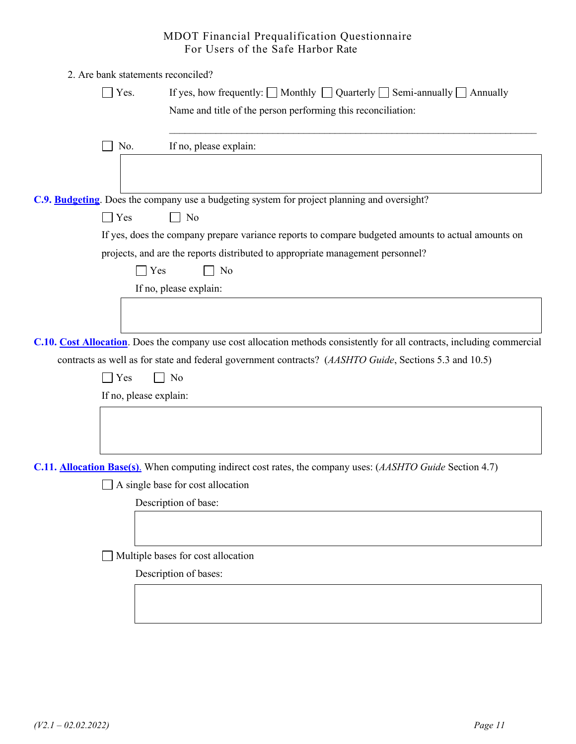|             |                        | 2. Are bank statements reconciled?                                                                                                                           |  |  |  |
|-------------|------------------------|--------------------------------------------------------------------------------------------------------------------------------------------------------------|--|--|--|
| $\Box$ Yes. |                        | If yes, how frequently: $\Box$ Monthly $\Box$ Quarterly $\Box$ Semi-annually $\Box$ Annually<br>Name and title of the person performing this reconciliation: |  |  |  |
|             | No.                    | If no, please explain:                                                                                                                                       |  |  |  |
|             |                        |                                                                                                                                                              |  |  |  |
|             |                        | C.9. Budgeting. Does the company use a budgeting system for project planning and oversight?                                                                  |  |  |  |
| $\Box$ Yes  |                        | No                                                                                                                                                           |  |  |  |
|             |                        | If yes, does the company prepare variance reports to compare budgeted amounts to actual amounts on                                                           |  |  |  |
|             |                        | projects, and are the reports distributed to appropriate management personnel?                                                                               |  |  |  |
|             | Yes                    | No                                                                                                                                                           |  |  |  |
|             |                        | If no, please explain:                                                                                                                                       |  |  |  |
|             |                        |                                                                                                                                                              |  |  |  |
|             |                        |                                                                                                                                                              |  |  |  |
|             |                        | C.10. Cost Allocation. Does the company use cost allocation methods consistently for all contracts, including commercial                                     |  |  |  |
|             |                        | contracts as well as for state and federal government contracts? (AASHTO Guide, Sections 5.3 and 10.5)                                                       |  |  |  |
|             | Yes                    | No                                                                                                                                                           |  |  |  |
|             | If no, please explain: |                                                                                                                                                              |  |  |  |
|             |                        |                                                                                                                                                              |  |  |  |
|             |                        |                                                                                                                                                              |  |  |  |
|             |                        |                                                                                                                                                              |  |  |  |
|             |                        | C.11. <b>Allocation Base(s)</b> . When computing indirect cost rates, the company uses: (AASHTO Guide Section 4.7)                                           |  |  |  |
|             |                        | A single base for cost allocation                                                                                                                            |  |  |  |
|             |                        | Description of base:                                                                                                                                         |  |  |  |
|             |                        |                                                                                                                                                              |  |  |  |
|             |                        |                                                                                                                                                              |  |  |  |
|             |                        | Multiple bases for cost allocation                                                                                                                           |  |  |  |
|             |                        | Description of bases:                                                                                                                                        |  |  |  |
|             |                        |                                                                                                                                                              |  |  |  |
|             |                        |                                                                                                                                                              |  |  |  |

<u> 1980 - Johann Stoff, deutscher Stoff, der Stoff, deutscher Stoff, der Stoff, der Stoff, der Stoff, der Stoff</u>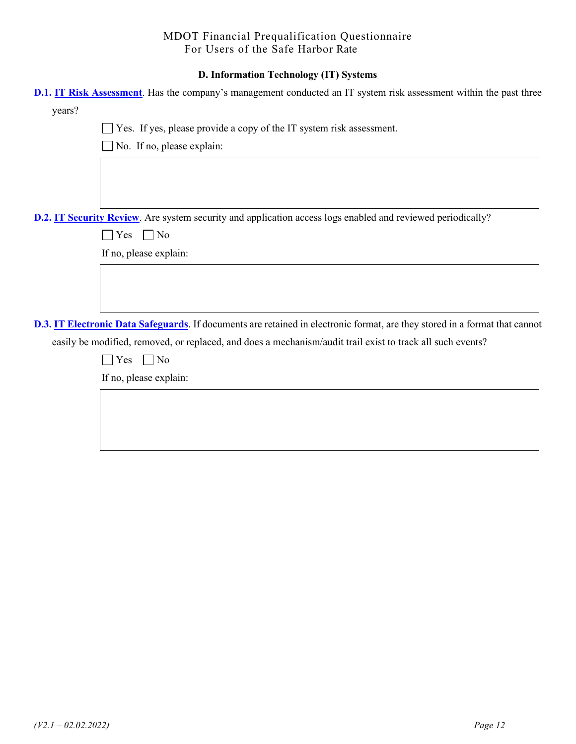#### **D. Information Technology (IT) Systems**

| D.1. IT Risk Assessment. Has the company's management conducted an IT system risk assessment within the past three          |
|-----------------------------------------------------------------------------------------------------------------------------|
| years?                                                                                                                      |
| Yes. If yes, please provide a copy of the IT system risk assessment.                                                        |
| No. If no, please explain:                                                                                                  |
|                                                                                                                             |
|                                                                                                                             |
|                                                                                                                             |
| D.2. IT Security Review. Are system security and application access logs enabled and reviewed periodically?                 |
| $\Box$ No<br>Yes                                                                                                            |
| If no, please explain:                                                                                                      |
|                                                                                                                             |
|                                                                                                                             |
|                                                                                                                             |
| D.3. IT Electronic Data Safeguards. If documents are retained in electronic format, are they stored in a format that cannot |
| easily be modified, removed, or replaced, and does a mechanism/audit trail exist to track all such events?                  |
| $\Box$ No<br>Yes                                                                                                            |
| If no, please explain:                                                                                                      |
|                                                                                                                             |
|                                                                                                                             |
|                                                                                                                             |
|                                                                                                                             |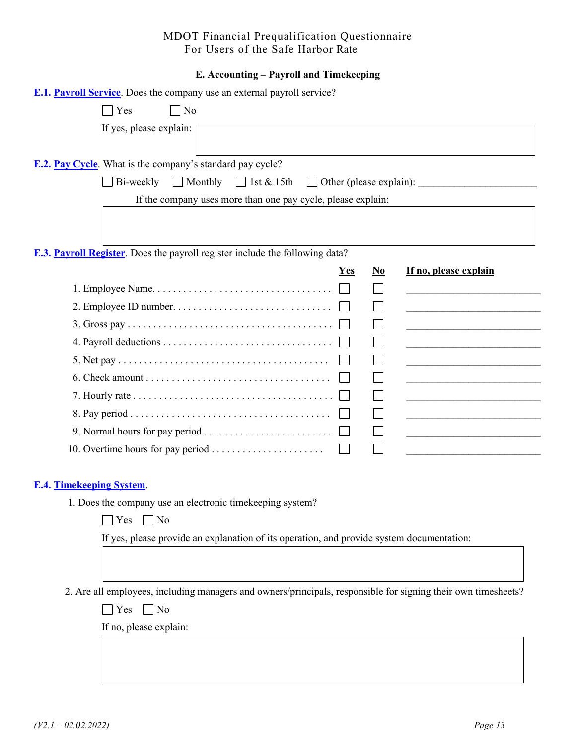#### **E. Accounting – Payroll and Timekeeping**

| <b>E.1. Payroll Service</b> . Does the company use an external payroll service?                               |            |                        |                                                                                                                       |
|---------------------------------------------------------------------------------------------------------------|------------|------------------------|-----------------------------------------------------------------------------------------------------------------------|
| $\Box$ Yes<br>$\Box$ No                                                                                       |            |                        |                                                                                                                       |
| If yes, please explain:                                                                                       |            |                        |                                                                                                                       |
|                                                                                                               |            |                        |                                                                                                                       |
| <b>E.2. Pay Cycle</b> . What is the company's standard pay cycle?                                             |            |                        |                                                                                                                       |
| Bi-weekly<br>$\Box$ Monthly $\Box$ 1st & 15th                                                                 |            |                        | $\Box$ Other (please explain):                                                                                        |
| If the company uses more than one pay cycle, please explain:                                                  |            |                        |                                                                                                                       |
|                                                                                                               |            |                        |                                                                                                                       |
|                                                                                                               |            |                        |                                                                                                                       |
| E.3. Payroll Register. Does the payroll register include the following data?                                  |            |                        |                                                                                                                       |
|                                                                                                               | <b>Yes</b> | $\mathbf{N}\mathbf{0}$ | If no, please explain                                                                                                 |
|                                                                                                               |            |                        |                                                                                                                       |
|                                                                                                               |            |                        | the control of the control of the control of the control of the control of                                            |
|                                                                                                               |            |                        |                                                                                                                       |
|                                                                                                               |            |                        | <u> 1989 - Johann Barbara, martin amerikan basal dan berasal dalam basal dalam basal dalam basal dalam basal dala</u> |
|                                                                                                               |            |                        |                                                                                                                       |
| $6. Check amount \dots \dots \dots \dots \dots \dots \dots \dots \dots \dots \dots \dots$                     |            |                        |                                                                                                                       |
| 7. Hourly rate $\dots \dots \dots \dots \dots \dots \dots \dots \dots \dots \dots \dots \dots \dots$          |            |                        |                                                                                                                       |
|                                                                                                               |            |                        |                                                                                                                       |
|                                                                                                               |            |                        |                                                                                                                       |
|                                                                                                               |            |                        |                                                                                                                       |
| <b>E.4. Timekeeping System.</b>                                                                               |            |                        |                                                                                                                       |
| 1. Does the company use an electronic time keeping system?                                                    |            |                        |                                                                                                                       |
| $\Box$ Yes<br>$\Box$ No                                                                                       |            |                        |                                                                                                                       |
| If yes, please provide an explanation of its operation, and provide system documentation:                     |            |                        |                                                                                                                       |
|                                                                                                               |            |                        |                                                                                                                       |
|                                                                                                               |            |                        |                                                                                                                       |
| 2. Are all employees, including managers and owners/principals, responsible for signing their own timesheets? |            |                        |                                                                                                                       |
| $\Box$ No<br>Yes                                                                                              |            |                        |                                                                                                                       |
| If no, please explain:                                                                                        |            |                        |                                                                                                                       |
|                                                                                                               |            |                        |                                                                                                                       |
|                                                                                                               |            |                        |                                                                                                                       |
|                                                                                                               |            |                        |                                                                                                                       |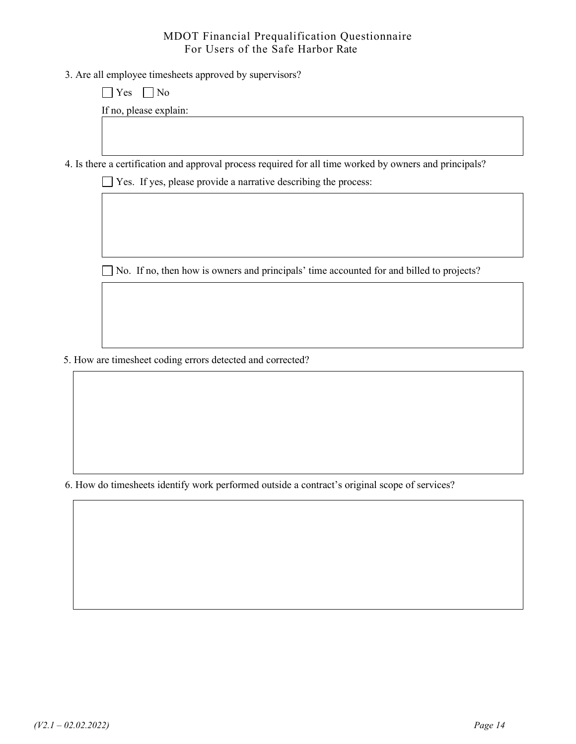3. Are all employee timesheets approved by supervisors?

 $\Box$  Yes  $\Box$  No

If no, please explain:

4. Is there a certification and approval process required for all time worked by owners and principals?

Yes. If yes, please provide a narrative describing the process:

No. If no, then how is owners and principals' time accounted for and billed to projects?

5. How are timesheet coding errors detected and corrected?

6. How do timesheets identify work performed outside a contract's original scope of services?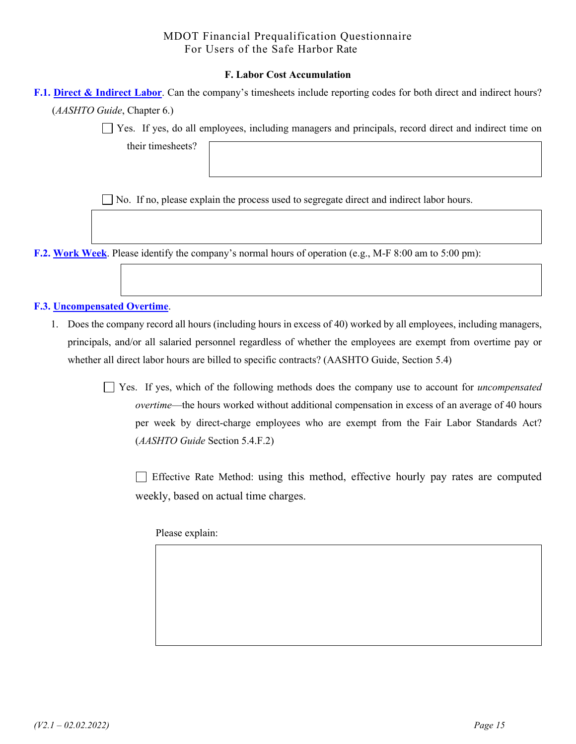#### **F. Labor Cost Accumulation**

| <b>F.1. Direct &amp; Indirect Labor.</b> Can the company's timesheets include reporting codes for both direct and indirect hours? |  |
|-----------------------------------------------------------------------------------------------------------------------------------|--|
| ( <i>AASHTO Guide</i> , Chapter 6.)                                                                                               |  |

Yes. If yes, do all employees, including managers and principals, record direct and indirect time on

their timesheets?

No. If no, please explain the process used to segregate direct and indirect labor hours.

**F.2. Work Week**. Please identify the company's normal hours of operation (e.g., M-F 8:00 am to 5:00 pm):

#### **F.3. Uncompensated Overtime**.

1. Does the company record all hours (including hours in excess of 40) worked by all employees, including managers, principals, and/or all salaried personnel regardless of whether the employees are exempt from overtime pay or whether all direct labor hours are billed to specific contracts? (AASHTO Guide, Section 5.4)

> Yes. If yes, which of the following methods does the company use to account for *uncompensated overtime*—the hours worked without additional compensation in excess of an average of 40 hours per week by direct-charge employees who are exempt from the Fair Labor Standards Act? (*AASHTO Guide* Section 5.4.F.2)

 Effective Rate Method: using this method, effective hourly pay rates are computed weekly, based on actual time charges.

Please explain: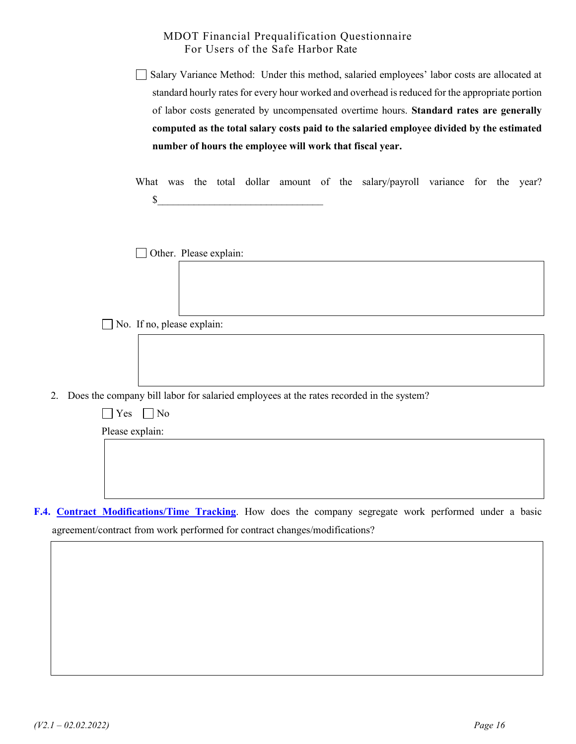| number of hours the employee will work that fiscal year.                                        |
|-------------------------------------------------------------------------------------------------|
| computed as the total salary costs paid to the salaried employee divided by the estimated       |
| of labor costs generated by uncompensated overtime hours. Standard rates are generally          |
| standard hourly rates for every hour worked and overhead is reduced for the appropriate portion |
| □ Salary Variance Method: Under this method, salaried employees' labor costs are allocated at   |

What was the total dollar amount of the salary/payroll variance for the year?  $\mathbb{S}$ 

Other. Please explain:

No. If no, please explain:

2. Does the company bill labor for salaried employees at the rates recorded in the system?

| $\Box$ Yes $\Box$ No |  |
|----------------------|--|
| Please explain:      |  |
|                      |  |
|                      |  |
|                      |  |
|                      |  |

**F.4. Contract Modifications/Time Tracking**. How does the company segregate work performed under a basic agreement/contract from work performed for contract changes/modifications?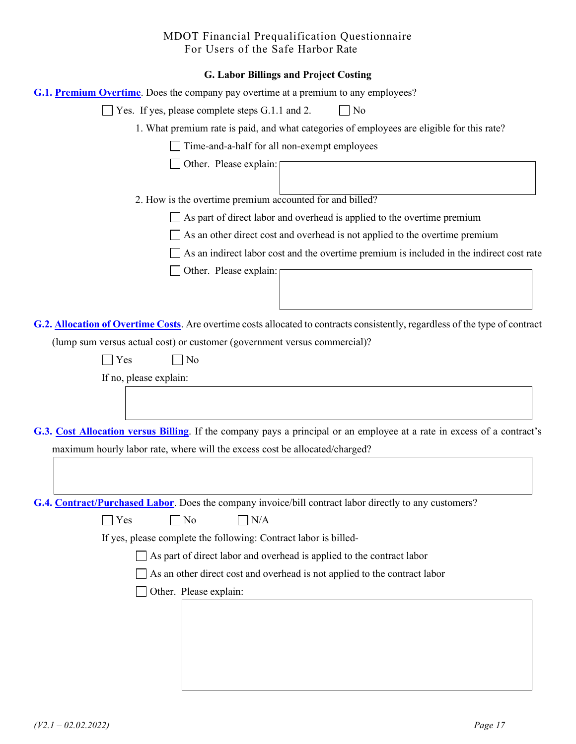| G. Labor Billings and Project Costing                                                                                         |
|-------------------------------------------------------------------------------------------------------------------------------|
| <b>G.1. Premium Overtime.</b> Does the company pay overtime at a premium to any employees?                                    |
| Yes. If yes, please complete steps G.1.1 and 2.<br>$\Box$ No                                                                  |
| 1. What premium rate is paid, and what categories of employees are eligible for this rate?                                    |
| Time-and-a-half for all non-exempt employees                                                                                  |
| Other. Please explain:                                                                                                        |
|                                                                                                                               |
| 2. How is the overtime premium accounted for and billed?                                                                      |
| As part of direct labor and overhead is applied to the overtime premium                                                       |
| As an other direct cost and overhead is not applied to the overtime premium                                                   |
| As an indirect labor cost and the overtime premium is included in the indirect cost rate                                      |
| Other. Please explain:                                                                                                        |
|                                                                                                                               |
|                                                                                                                               |
| G.2. Allocation of Overtime Costs. Are overtime costs allocated to contracts consistently, regardless of the type of contract |
| (lump sum versus actual cost) or customer (government versus commercial)?                                                     |
| No<br>Yes<br>$\sim$                                                                                                           |
| If no, please explain:                                                                                                        |
|                                                                                                                               |
|                                                                                                                               |
| G.3. Cost Allocation versus Billing. If the company pays a principal or an employee at a rate in excess of a contract's       |
| maximum hourly labor rate, where will the excess cost be allocated/charged?                                                   |
|                                                                                                                               |
|                                                                                                                               |
| <b>G.4. Contract/Purchased Labor</b> . Does the company invoice/bill contract labor directly to any customers?                |
| $\exists$ No<br>Yes<br>$\Box$ N/A                                                                                             |
| If yes, please complete the following: Contract labor is billed-                                                              |
| $\Box$ As part of direct labor and overhead is applied to the contract labor                                                  |
| As an other direct cost and overhead is not applied to the contract labor                                                     |
| Other. Please explain:                                                                                                        |
|                                                                                                                               |
|                                                                                                                               |
|                                                                                                                               |
|                                                                                                                               |
|                                                                                                                               |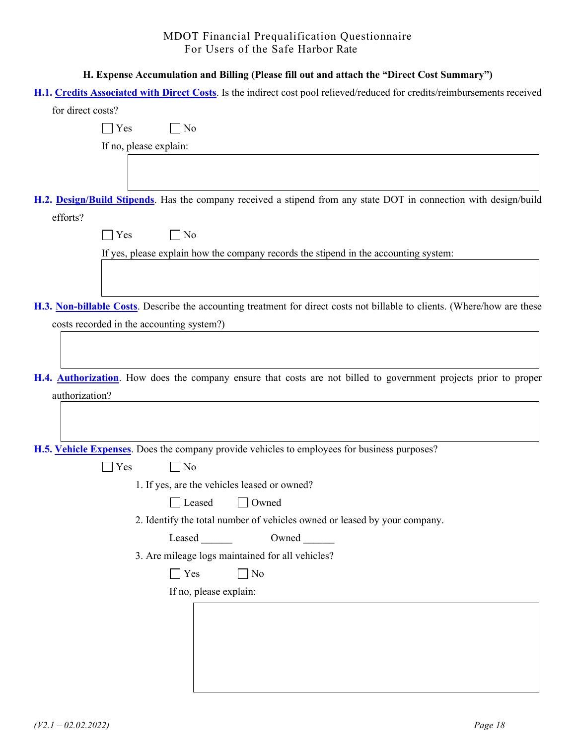| H. Expense Accumulation and Billing (Please fill out and attach the "Direct Cost Summary")                                |
|---------------------------------------------------------------------------------------------------------------------------|
| H.1. Credits Associated with Direct Costs. Is the indirect cost pool relieved/reduced for credits/reimbursements received |
| for direct costs?                                                                                                         |
| No<br>$\vert$ Yes                                                                                                         |
| If no, please explain:                                                                                                    |
|                                                                                                                           |
| H.2. Design/Build Stipends. Has the company received a stipend from any state DOT in connection with design/build         |
| efforts?                                                                                                                  |
| $\neg$ No<br>$\big $ Yes                                                                                                  |
| If yes, please explain how the company records the stipend in the accounting system:                                      |
|                                                                                                                           |
|                                                                                                                           |
| H.3. Non-billable Costs. Describe the accounting treatment for direct costs not billable to clients. (Where/how are these |
| costs recorded in the accounting system?)                                                                                 |
|                                                                                                                           |
|                                                                                                                           |
| H.4. <b>Authorization</b> . How does the company ensure that costs are not billed to government projects prior to proper  |
| authorization?                                                                                                            |
|                                                                                                                           |
|                                                                                                                           |
| H.5. Vehicle Expenses. Does the company provide vehicles to employees for business purposes?                              |
| No<br>Yes                                                                                                                 |
| 1. If yes, are the vehicles leased or owned?                                                                              |
| Leased<br>$\Box$ Owned                                                                                                    |
| 2. Identify the total number of vehicles owned or leased by your company.                                                 |
| Owned<br>Leased                                                                                                           |
| 3. Are mileage logs maintained for all vehicles?                                                                          |
| Yes<br>No                                                                                                                 |
| If no, please explain:                                                                                                    |
|                                                                                                                           |
|                                                                                                                           |
|                                                                                                                           |
|                                                                                                                           |
|                                                                                                                           |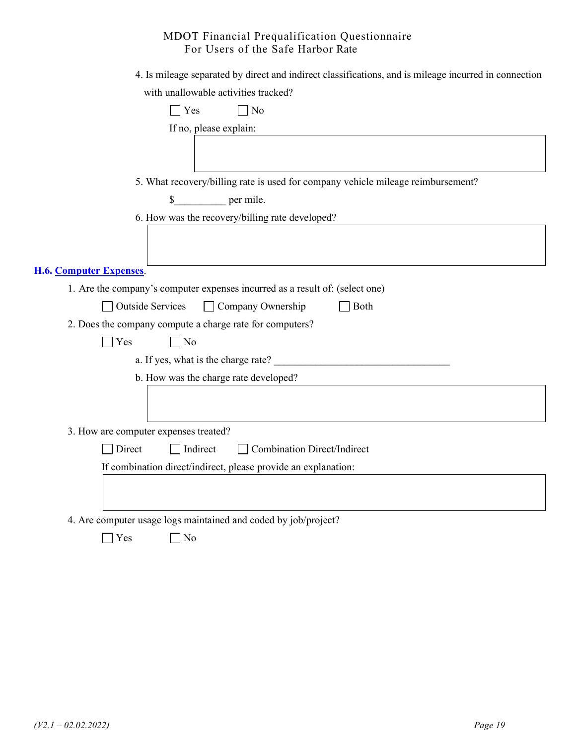| 4. Is mileage separated by direct and indirect classifications, and is mileage incurred in connection |  |  |
|-------------------------------------------------------------------------------------------------------|--|--|
| with unallowable activities tracked?                                                                  |  |  |

| $\neg$ No<br>Yes                                                                 |
|----------------------------------------------------------------------------------|
| If no, please explain:                                                           |
|                                                                                  |
| 5. What recovery/billing rate is used for company vehicle mileage reimbursement? |
| per mile.<br>$\mathbb{S}$                                                        |
| 6. How was the recovery/billing rate developed?                                  |
|                                                                                  |
| <b>H.6. Computer Expenses.</b>                                                   |
| 1. Are the company's computer expenses incurred as a result of: (select one)     |
| <b>Outside Services</b><br>$\Box$ Company Ownership<br>Both                      |
| 2. Does the company compute a charge rate for computers?                         |
| $\Box$ Yes<br>$\Box$ No                                                          |
| a. If yes, what is the charge rate?                                              |
| b. How was the charge rate developed?                                            |
|                                                                                  |
| 3. How are computer expenses treated?                                            |
| Direct<br>Indirect<br><b>Combination Direct/Indirect</b>                         |
| If combination direct/indirect, please provide an explanation:                   |
|                                                                                  |
| 4. Are computer usage logs maintained and coded by job/project?                  |
| Yes<br>N <sub>o</sub>                                                            |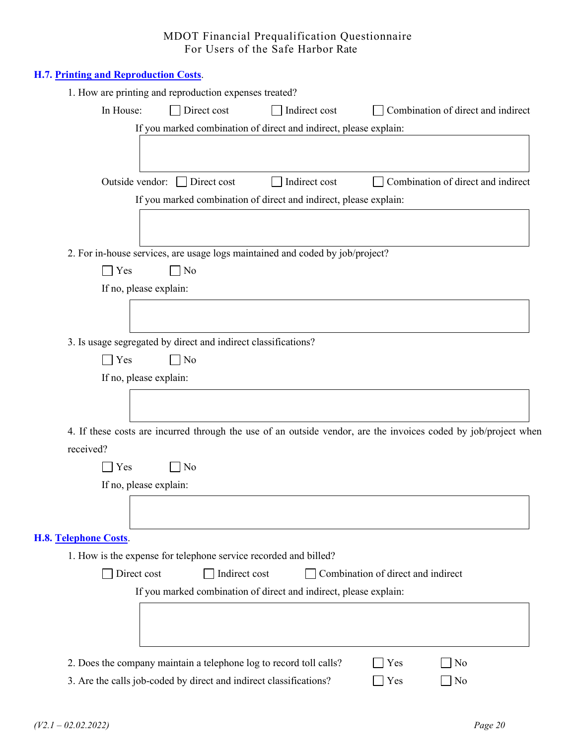|                             | H.7. Printing and Reproduction Costs.                                                                           |
|-----------------------------|-----------------------------------------------------------------------------------------------------------------|
|                             | 1. How are printing and reproduction expenses treated?                                                          |
|                             | In House:<br>Direct cost<br>Indirect cost<br>Combination of direct and indirect                                 |
|                             | If you marked combination of direct and indirect, please explain:                                               |
|                             |                                                                                                                 |
|                             |                                                                                                                 |
|                             | Combination of direct and indirect<br>Outside vendor:<br>$\Box$ Direct cost<br>Indirect cost                    |
|                             | If you marked combination of direct and indirect, please explain:                                               |
|                             |                                                                                                                 |
|                             |                                                                                                                 |
|                             | 2. For in-house services, are usage logs maintained and coded by job/project?                                   |
|                             | Yes<br>]No<br>If no, please explain:                                                                            |
|                             |                                                                                                                 |
|                             |                                                                                                                 |
|                             | 3. Is usage segregated by direct and indirect classifications?                                                  |
|                             | Yes<br>$\neg$ No                                                                                                |
|                             | If no, please explain:                                                                                          |
|                             |                                                                                                                 |
|                             |                                                                                                                 |
|                             | 4. If these costs are incurred through the use of an outside vendor, are the invoices coded by job/project when |
| received?                   |                                                                                                                 |
|                             | 7 No<br>Yes                                                                                                     |
|                             | If no, please explain:                                                                                          |
|                             |                                                                                                                 |
|                             |                                                                                                                 |
| <b>H.8. Telephone Costs</b> |                                                                                                                 |
|                             | 1. How is the expense for telephone service recorded and billed?                                                |
|                             | Indirect cost<br>Combination of direct and indirect<br>Direct cost                                              |
|                             | If you marked combination of direct and indirect, please explain:                                               |
|                             |                                                                                                                 |
|                             |                                                                                                                 |
|                             |                                                                                                                 |
|                             | 2. Does the company maintain a telephone log to record toll calls?<br>Yes<br>No                                 |
|                             | 3. Are the calls job-coded by direct and indirect classifications?<br>No<br>Yes                                 |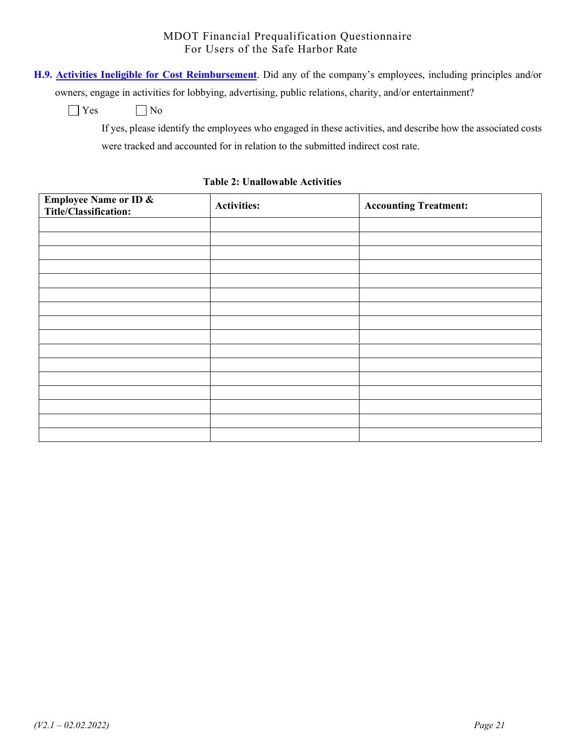**H.9. Activities Ineligible for Cost Reimbursement**. Did any of the company's employees, including principles and/or

owners, engage in activities for lobbying, advertising, public relations, charity, and/or entertainment?

 $\bigcap$  Yes  $\bigcap$  No

If yes, please identify the employees who engaged in these activities, and describe how the associated costs were tracked and accounted for in relation to the submitted indirect cost rate.

# **Employee Name or ID & The Employee Name of TD & Activities:** Activities: **Accounting Treatment:**  $\begin{bmatrix} \text{Acounting Treatment:} \\ \text{Accounting Treatment:} \end{bmatrix}$

#### **Table 2: Unallowable Activities**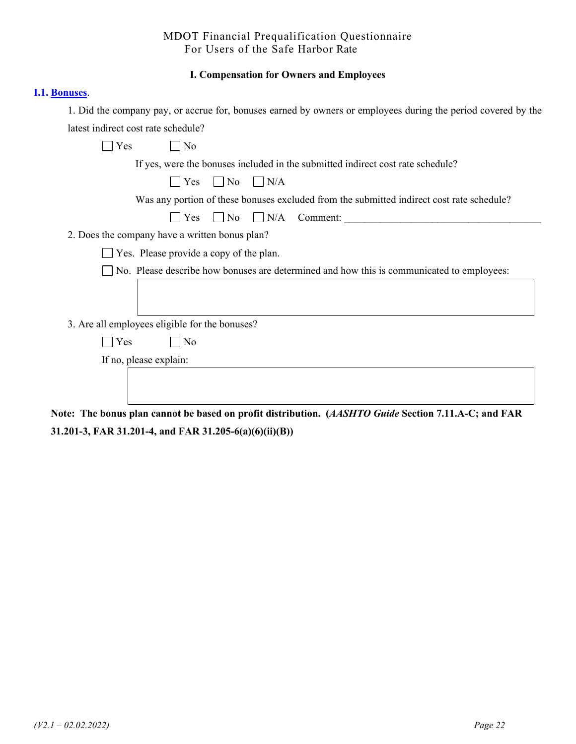#### **I. Compensation for Owners and Employees**

#### **I.1. Bonuses**.

1. Did the company pay, or accrue for, bonuses earned by owners or employees during the period covered by the latest indirect cost rate schedule?

| Yes<br>No                                                                                                                        |
|----------------------------------------------------------------------------------------------------------------------------------|
| If yes, were the bonuses included in the submitted indirect cost rate schedule?                                                  |
| Yes<br>$\Box$ No<br>$\Box$ N/A                                                                                                   |
| Was any portion of these bonuses excluded from the submitted indirect cost rate schedule?                                        |
| $\bigcup$ Yes $\bigcup$ No $\bigcup$ N/A<br>Comment:                                                                             |
| 2. Does the company have a written bonus plan?                                                                                   |
| Yes. Please provide a copy of the plan.                                                                                          |
| No. Please describe how bonuses are determined and how this is communicated to employees:                                        |
|                                                                                                                                  |
|                                                                                                                                  |
| 3. Are all employees eligible for the bonuses?                                                                                   |
| Yes<br>$\overline{N}$                                                                                                            |
| If no, please explain:                                                                                                           |
|                                                                                                                                  |
|                                                                                                                                  |
| to The house plan connot be besed on prefit distribution $(AA \nabla H T \nabla G_{ij})$ Castion 7.11 A.C. and $\Gamma A \nabla$ |

**Note: The bonus plan cannot be based on profit distribution. (***AASHTO Guide* **Section 7.11.A-C; and FAR 31.201-3, FAR 31.201-4, and FAR 31.205-6(a)(6)(ii)(B))**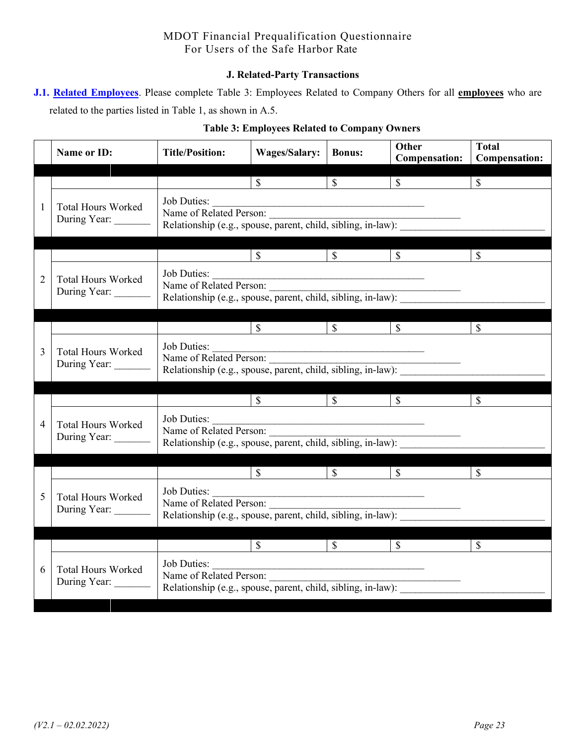#### **J. Related-Party Transactions**

|  | J.1. Related Employees. Please complete Table 3: Employees Related to Company Others for all employees who are |  |  |  |  |
|--|----------------------------------------------------------------------------------------------------------------|--|--|--|--|
|  | related to the parties listed in Table 1, as shown in A.5.                                                     |  |  |  |  |

|   | <b>Name or ID:</b>                        | <b>Title/Position:</b>                                                                                 | <b>Wages/Salary:</b>                                              | <b>Bonus:</b>            | Other<br><b>Compensation:</b> | <b>Total</b><br><b>Compensation:</b> |
|---|-------------------------------------------|--------------------------------------------------------------------------------------------------------|-------------------------------------------------------------------|--------------------------|-------------------------------|--------------------------------------|
|   |                                           |                                                                                                        | $\mathcal{S}$                                                     | $\mathbb{S}$             | $\frac{\text{S}}{\text{S}}$   | $\mathbb{S}$                         |
| 1 | <b>Total Hours Worked</b><br>During Year: | Job Duties:<br>Name of Related Person:<br>Relationship (e.g., spouse, parent, child, sibling, in-law): |                                                                   |                          |                               |                                      |
|   |                                           |                                                                                                        | $\int$                                                            | $\mathbb{S}$             | $\overline{\mathcal{S}}$      | $\mathcal{S}$                        |
| 2 | <b>Total Hours Worked</b><br>During Year: | Job Duties:<br>Name of Related Person:<br>Relationship (e.g., spouse, parent, child, sibling, in-law): |                                                                   |                          |                               |                                      |
|   |                                           |                                                                                                        | $\mathbb{S}$                                                      | $\overline{\mathcal{S}}$ | $\mathbb{S}$                  | $\mathcal{S}$                        |
| 3 | <b>Total Hours Worked</b><br>During Year: | Job Duties:<br>Name of Related Person:<br>Relationship (e.g., spouse, parent, child, sibling, in-law): |                                                                   |                          |                               |                                      |
|   |                                           |                                                                                                        | $\overline{\mathcal{S}}$                                          | $\overline{\text{S}}$    | $\mathbb{S}$                  | $\mathcal{S}$                        |
| 4 | <b>Total Hours Worked</b><br>During Year: | Job Duties:<br>Name of Related Person:<br>Relationship (e.g., spouse, parent, child, sibling, in-law): |                                                                   |                          |                               |                                      |
|   |                                           |                                                                                                        | $\mathbb{S}$                                                      | $\overline{\mathcal{S}}$ | $\mathcal{S}$                 | $\mathbb{S}$                         |
| 5 | <b>Total Hours Worked</b><br>During Year: | Job Duties:<br>Name of Related Person:<br>Relationship (e.g., spouse, parent, child, sibling, in-law): | <u> 1989 - Johann John Stein, mars an deus Frankrik (f. 1989)</u> |                          |                               |                                      |
|   |                                           |                                                                                                        | $\mathbb{S}$                                                      | $\overline{\mathcal{S}}$ | $\mathcal{S}$                 | $\mathbb{S}$                         |
| 6 | <b>Total Hours Worked</b><br>During Year: | Job Duties:<br>Name of Related Person:<br>Relationship (e.g., spouse, parent, child, sibling, in-law): |                                                                   |                          |                               |                                      |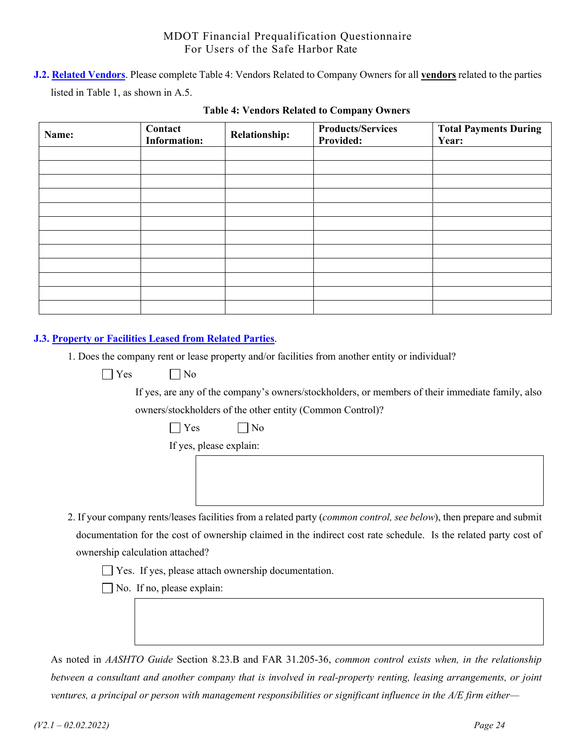**J.2. Related Vendors**. Please complete Table 4: Vendors Related to Company Owners for all **vendors** related to the parties listed in Table 1, as shown in A.5.

| Name: | Contact<br><b>Information:</b> | <b>Relationship:</b> | <b>Products/Services</b><br><b>Provided:</b> | <b>Total Payments During</b><br>Year: |
|-------|--------------------------------|----------------------|----------------------------------------------|---------------------------------------|
|       |                                |                      |                                              |                                       |
|       |                                |                      |                                              |                                       |
|       |                                |                      |                                              |                                       |
|       |                                |                      |                                              |                                       |
|       |                                |                      |                                              |                                       |
|       |                                |                      |                                              |                                       |
|       |                                |                      |                                              |                                       |
|       |                                |                      |                                              |                                       |
|       |                                |                      |                                              |                                       |
|       |                                |                      |                                              |                                       |
|       |                                |                      |                                              |                                       |
|       |                                |                      |                                              |                                       |

#### **Table 4: Vendors Related to Company Owners**

#### **J.3. Property or Facilities Leased from Related Parties**.

1. Does the company rent or lease property and/or facilities from another entity or individual?

 $\bigcap$  Yes  $\bigcap$  No

If yes, are any of the company's owners/stockholders, or members of their immediate family, also

owners/stockholders of the other entity (Common Control)?

|  |  | ง∩ |
|--|--|----|
|--|--|----|

If yes, please explain:

2. If your company rents/leases facilities from a related party (*common control, see below*), then prepare and submit documentation for the cost of ownership claimed in the indirect cost rate schedule. Is the related party cost of ownership calculation attached?

Yes. If yes, please attach ownership documentation.

No. If no, please explain:

As noted in *AASHTO Guide* Section 8.23.B and FAR 31.205-36, *common control exists when, in the relationship between a consultant and another company that is involved in real-property renting, leasing arrangements, or joint ventures, a principal or person with management responsibilities or significant influence in the A/E firm either—*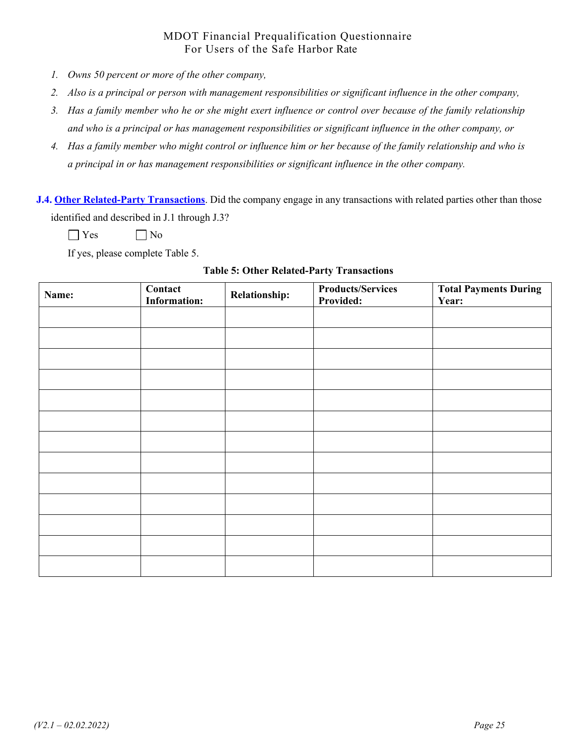- *1. Owns 50 percent or more of the other company,*
- *2. Also is a principal or person with management responsibilities or significant influence in the other company,*
- *3. Has a family member who he or she might exert influence or control over because of the family relationship and who is a principal or has management responsibilities or significant influence in the other company, or*
- *4. Has a family member who might control or influence him or her because of the family relationship and who is a principal in or has management responsibilities or significant influence in the other company.*

**J.4. Other Related-Party Transactions**. Did the company engage in any transactions with related parties other than those identified and described in J.1 through J.3?

 $\bigcap$  Yes  $\bigcap$  No

If yes, please complete Table 5.

#### **Table 5: Other Related-Party Transactions**

| Name: | Contact<br><b>Information:</b> | Relationship: | <b>Products/Services</b><br>Provided: | <b>Total Payments During</b><br>Year: |
|-------|--------------------------------|---------------|---------------------------------------|---------------------------------------|
|       |                                |               |                                       |                                       |
|       |                                |               |                                       |                                       |
|       |                                |               |                                       |                                       |
|       |                                |               |                                       |                                       |
|       |                                |               |                                       |                                       |
|       |                                |               |                                       |                                       |
|       |                                |               |                                       |                                       |
|       |                                |               |                                       |                                       |
|       |                                |               |                                       |                                       |
|       |                                |               |                                       |                                       |
|       |                                |               |                                       |                                       |
|       |                                |               |                                       |                                       |
|       |                                |               |                                       |                                       |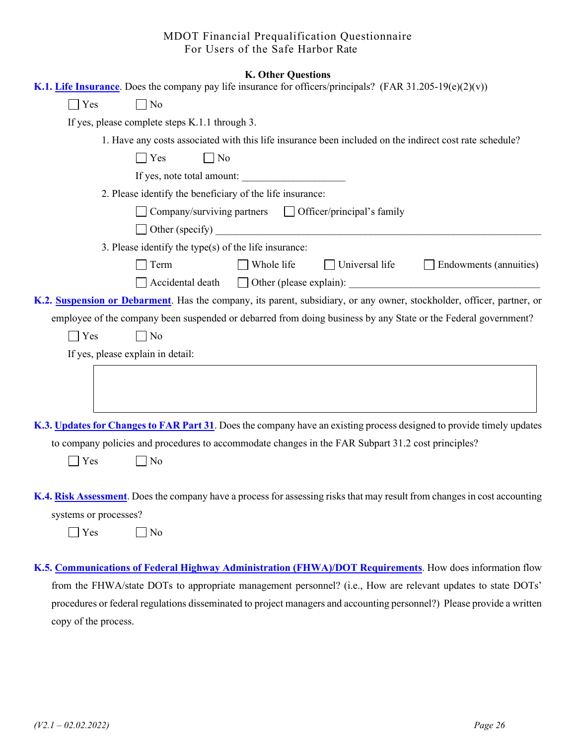|                       |                                                                                                                | <b>K. Other Questions</b> |                                   |                                                                                                                           |
|-----------------------|----------------------------------------------------------------------------------------------------------------|---------------------------|-----------------------------------|---------------------------------------------------------------------------------------------------------------------------|
|                       | K.1. Life Insurance. Does the company pay life insurance for officers/principals? (FAR 31.205-19 $(e)(2)(v)$ ) |                           |                                   |                                                                                                                           |
| $\bigcap$ Yes         | $\Box$ No                                                                                                      |                           |                                   |                                                                                                                           |
|                       | If yes, please complete steps K.1.1 through 3.                                                                 |                           |                                   |                                                                                                                           |
|                       |                                                                                                                |                           |                                   | 1. Have any costs associated with this life insurance been included on the indirect cost rate schedule?                   |
|                       | $\Box$ No<br>Yes                                                                                               |                           |                                   |                                                                                                                           |
|                       | If yes, note total amount:                                                                                     |                           |                                   |                                                                                                                           |
|                       | 2. Please identify the beneficiary of the life insurance:                                                      |                           |                                   |                                                                                                                           |
|                       | Company/surviving partners                                                                                     |                           | $\Box$ Officer/principal's family |                                                                                                                           |
|                       |                                                                                                                |                           | Other (specify)                   |                                                                                                                           |
|                       | 3. Please identify the type(s) of the life insurance:                                                          |                           |                                   |                                                                                                                           |
|                       | Term                                                                                                           | $\Box$ Whole life         | $\Box$ Universal life             | $\Box$ Endowments (annuities)                                                                                             |
|                       | Accidental death                                                                                               |                           |                                   |                                                                                                                           |
|                       |                                                                                                                |                           |                                   | K.2. Suspension or Debarment. Has the company, its parent, subsidiary, or any owner, stockholder, officer, partner, or    |
|                       |                                                                                                                |                           |                                   | employee of the company been suspended or debarred from doing business by any State or the Federal government?            |
| $\bigcap$ Yes         | $\Box$ No                                                                                                      |                           |                                   |                                                                                                                           |
|                       | If yes, please explain in detail:                                                                              |                           |                                   |                                                                                                                           |
|                       |                                                                                                                |                           |                                   |                                                                                                                           |
|                       |                                                                                                                |                           |                                   |                                                                                                                           |
|                       |                                                                                                                |                           |                                   |                                                                                                                           |
|                       |                                                                                                                |                           |                                   | K.3. Updates for Changes to FAR Part 31. Does the company have an existing process designed to provide timely updates     |
|                       | to company policies and procedures to accommodate changes in the FAR Subpart 31.2 cost principles?             |                           |                                   |                                                                                                                           |
| Yes                   | $\Box$ No                                                                                                      |                           |                                   |                                                                                                                           |
|                       |                                                                                                                |                           |                                   |                                                                                                                           |
|                       |                                                                                                                |                           |                                   | K.4. Risk Assessment. Does the company have a process for assessing risks that may result from changes in cost accounting |
|                       |                                                                                                                |                           |                                   |                                                                                                                           |
| systems or processes? |                                                                                                                |                           |                                   |                                                                                                                           |
| Yes                   | No                                                                                                             |                           |                                   |                                                                                                                           |

**K.5. Communications of Federal Highway Administration (FHWA)/DOT Requirements**. How does information flow from the FHWA/state DOTs to appropriate management personnel? (i.e., How are relevant updates to state DOTs' procedures or federal regulations disseminated to project managers and accounting personnel?) Please provide a written copy of the process.